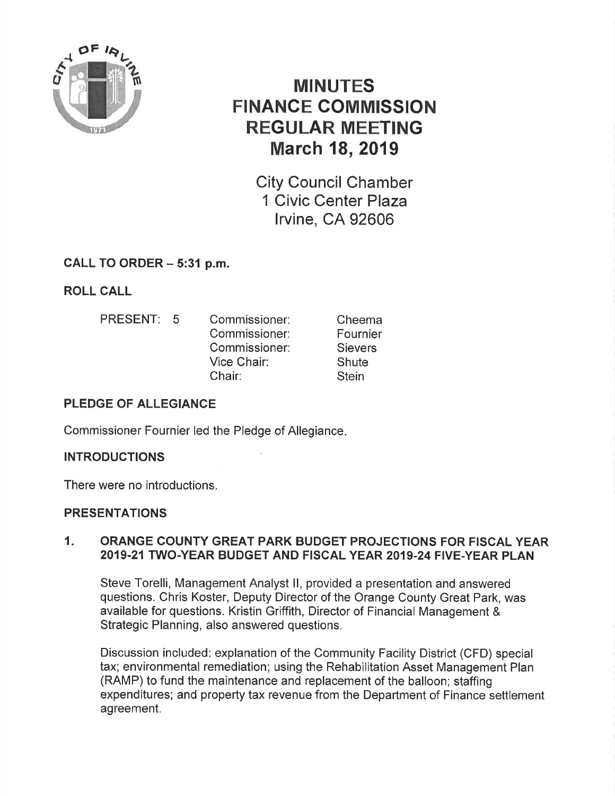

# MINUTES FINANGE GOMMISSION REGULAR MEETING March 18, 2019

City Council Chamber 1 Civic Center Plaza lrvine, CA 92606

## CALL TO ORDER - 5:31 p.m.

ROLL CALL

- PRESENT: 5 Commissioner:
	- Commissioner: Commissioner: Vice Chair: Chair:

Cheema Fournier **Sievers Shute Stein** 

#### PLEDGE OF ALLEGIANCE

Commissioner Fournier led the Pledge of Allegiance

#### **INTRODUCTIONS**

There were no introductions.

#### PRESENTATIONS

#### 1. ORANGE COUNTY GREAT PARK BUDGET PROJECTIONS FOR FISCAL YEAR 2019.21TWO.YEAR BUDGET AND FISCAL YEAR 2019.24 FIVE-YEAR PLAN

Steve Torelli, Management Analyst ll, provided a presentation and answered questions. Chris Koster, Deputy Director of the Orange County Great Park, was available for questions. Kristin Griffith, Director of Financial Management & Strategic Planning, also answered questions.

Discussion included: explanation of the Community Facility District (CFD) special tax; environmental remediation; using the Rehabilitation Asset Management Plan (RAMP) to fund the maintenance and replacement of the balloon; staffing expenditures; and property tax revenue from the Department of Finance settlement agreement.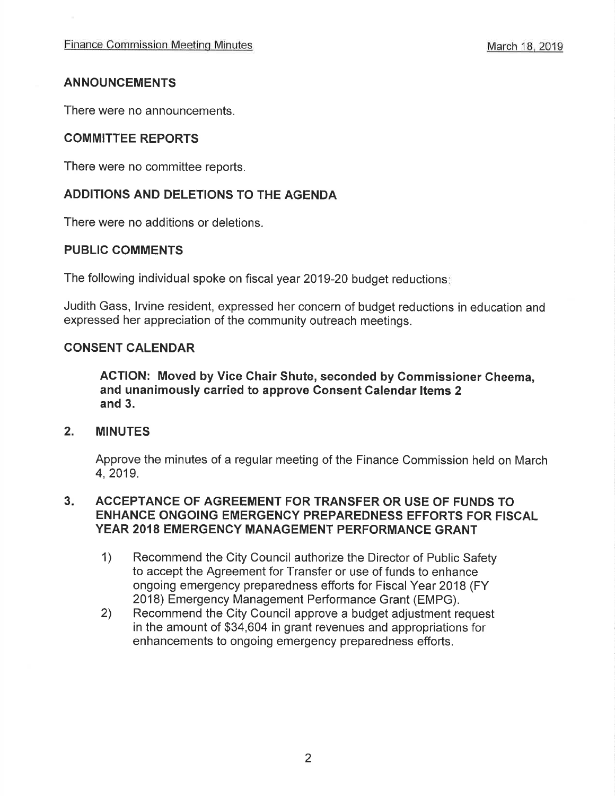#### ANNOUNCEMENTS

There were no announcements.

#### COMMITTEE REPORTS

There were no committee reports,

#### ADDITIONS AND DELETIONS TO THE AGENDA

There were no additions or deletions.

#### PUBLIG COMMENTS

The following individual spoke on fiscal year 2019-20 budget reductions

Judith Gass, lrvine resident, expressed her concern of budget reductions in education and expressed her appreciation of the community outreach meetings.

#### CONSENT CALENDAR

ACTION: Moved by Vice Chair Shute, seconded by Commissioner Gheema, and unanimously carried to approve Consent Calendar ltems 2 and 3.

#### 2. MINUTES

Approve the minutes of a regular meeting of the Finance Commission held on March 4,2019.

#### ACCEPTANCE OF AGREEMENT FOR TRANSFER OR USE OF FUNDS TO ENHANCE ONGOING EMERGENCY PREPAREDNESS EFFORTS FOR FISCAL YEAR 2018 EMERGENCY MANAGEMENT PERFORMANCE GRANT 3

- 1) Recommend the City Council authorize the Director of Public Safety to accept the Agreement for Transfer or use of funds to enhance ongoing emergency preparedness efforts for Fiscal Year 2018 (FY
- 2018) Emergency Management Performance Grant (EMPG). 2) Recommend the City Council approve a budget adjustment request in the amount of \$34,604 in grant revenues and appropriations for enhancements to ongoing emergency preparedness efforts.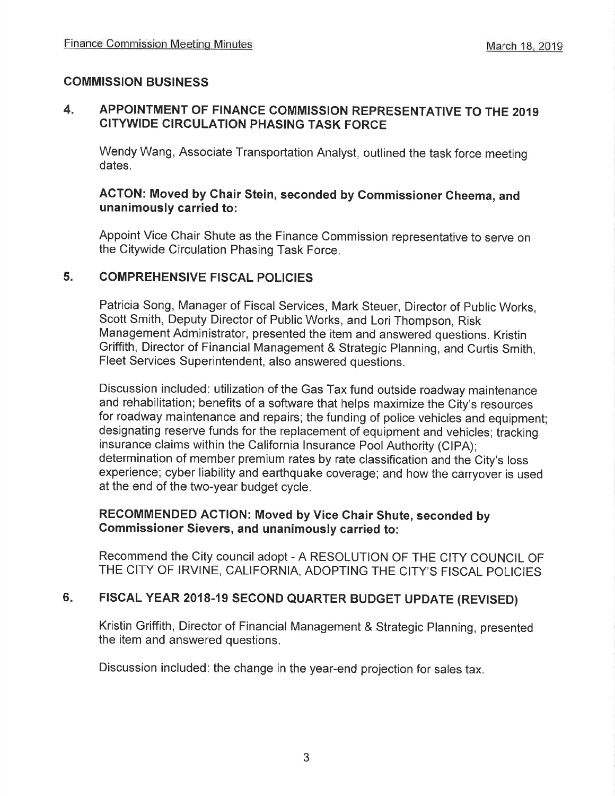#### COMMISSION BUSINESS

#### 4. APPOINTMENT OF FINANCE COMMISSION REPRESENTATIVE TO THE 2O1g CITYWIDE CIRCULATION PHASING TASK FORCE

Wendy Wang, Associate Transportation Analyst, outlined the task force meeting dates.

#### ACTON: Moved by Chair Stein, seconded by Commissioner Cheema, and unanimously carried to:

Appoint Vice Chair Shute as the Finance Commission representative to serve on the Citywide Circulation Phasing Task Force.

#### 5. COMPREHENSIVE FISCAL POLICIES

Patricia Song, Manager of Fiscal Services, Mark Steuer, Director of Public Works, Scott Smith, Deputy Director of Public Works, and Lori Thompson, Risk Management Administrator, presented the item and answered questions. Kristin Griffith, Director of Financial Management & Strategic Planning, and Curtis Smith, Fleet Services Superintendent, also answered questions.

Discussion included: utilization of the Gas Tax fund outside roadway maintenance and rehabilitation; benefits of a software that helps maximize the City's resources for roadway maintenance and repairs; the funding of police vehicles and equipment; designating reserve funds for the replacement of equipment and vehicles; tracking insurance claims within the California lnsurance Pool Authority (clpA); determination of member premium rates by rate classification and the City's loss experience; cyber liability and earthquake coverage; and how the carryover is used at the end of the two-year budget cycle.

#### RECOMMENDED ACTION: Moved by Vice Ghair Shute, seconded by Gommissioner Sievers, and unanimously carried to:

Recommend the City council adopt - A RESOLUTION OF THE CITY COUNCIL OF THE CITY OF IRVINE, CALIFORNIA, ADOPTING THE CITY'S FISCAL POLICIES

#### FISCAL YEAR 2018-19 SECOND QUARTER BUDGET UPDATE (REVISED) 6

Kristin Griffith, Director of Financial Management & Strategic Planning, presented the item and answered questions.

Discussion included: the change in the year-end projection for sales tax.